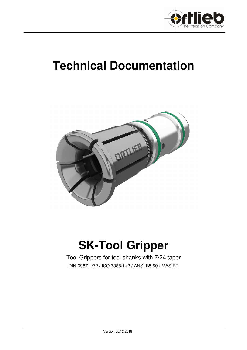

# **Technical Documentation**



# **SK-Tool Gripper**

Tool Grippers for tool shanks with 7/24 taper DIN 69871 /72 / ISO 7388/1+2 / ANSI B5.50 / MAS BT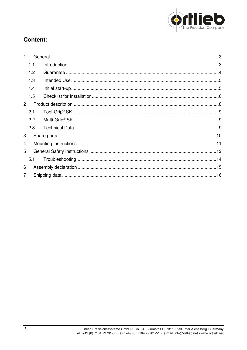

# **Content:**

| 1              |     |  |  |  |
|----------------|-----|--|--|--|
|                | 1.1 |  |  |  |
|                | 1.2 |  |  |  |
|                | 1.3 |  |  |  |
|                | 1.4 |  |  |  |
|                | 1.5 |  |  |  |
| $\overline{2}$ |     |  |  |  |
|                | 2.1 |  |  |  |
|                | 2.2 |  |  |  |
|                | 2.3 |  |  |  |
| 3              |     |  |  |  |
| 4              |     |  |  |  |
| 5              |     |  |  |  |
|                | 5.1 |  |  |  |
| 6              |     |  |  |  |
| $\overline{7}$ |     |  |  |  |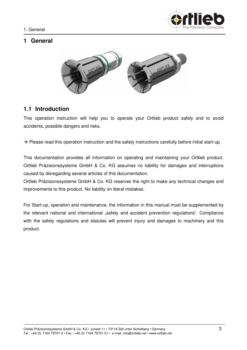

# **1 General**



# **1.1 Introduction**

This operation instruction will help you to operate your Ortlieb product safely and to avoid accidents, possible dangers and risks.

 $\rightarrow$  Please read this operation instruction and the safety instructions carefully before initial start-up.

This documentation provides all information on operating and maintaining your Ortlieb product. Ortlieb Präzisionssysteme GmbH & Co. KG assumes no liability for damages and interruptions caused by disregarding several articles of this documentation.

Ortlieb Präzisionssysteme GmbH & Co. KG reserves the right to make any technical changes and improvements to this product. No liability on literal mistakes.

For Start-up, operation and maintenance, the information in this manual must be supplemented by the relevant national and international "safety and accident prevention regulations". Compliance with the safety regulations and statutes will prevent injury and damages to machinery and this product.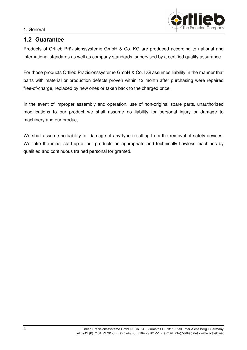#### 1. General



### **1.2 Guarantee**

Products of Ortlieb Präzisionssysteme GmbH & Co. KG are produced according to national and international standards as well as company standards, supervised by a certified quality assurance.

For those products Ortlieb Präzisionssysteme GmbH & Co. KG assumes liability in the manner that parts with material or production defects proven within 12 month after purchasing were repaired free-of-charge, replaced by new ones or taken back to the charged price.

In the event of improper assembly and operation, use of non-original spare parts, unauthorized modifications to our product we shall assume no liability for personal injury or damage to machinery and our product.

We shall assume no liability for damage of any type resulting from the removal of safety devices. We take the initial start-up of our products on appropriate and technically flawless machines by qualified and continuous trained personal for granted.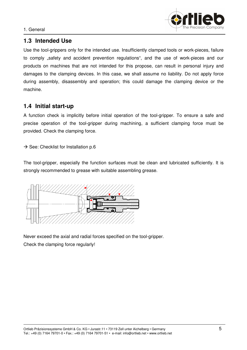

# **1.3 Intended Use**

Use the tool-grippers only for the intended use. Insufficiently clamped tools or work-pieces, failure to comply "safety and accident prevention regulations", and the use of work-pieces and our products on machines that are not intended for this propose, can result in personal injury and damages to the clamping devices. In this case, we shall assume no liability. Do not apply force during assembly, disassembly and operation; this could damage the clamping device or the machine.

# **1.4 Initial start-up**

A function check is implicitly before initial operation of the tool-gripper. To ensure a safe and precise operation of the tool-gripper during machining, a sufficient clamping force must be provided. Check the clamping force.

 $\rightarrow$  See: Checklist for Installation p.6

The tool-gripper, especially the function surfaces must be clean and lubricated sufficiently. It is strongly recommended to grease with suitable assembling grease.



Never exceed the axial and radial forces specified on the tool-gripper. Check the clamping force regularly!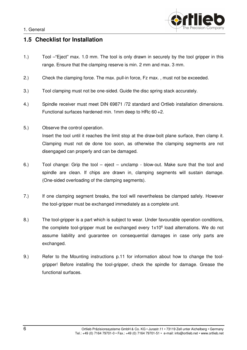

# **1.5 Checklist for Installation**

- 1.) Tool –"Eject" max. 1.0 mm. The tool is only drawn in securely by the tool gripper in this range. Ensure that the clamping reserve is min. 2 mm and max. 3 mm.
- 2.) Check the clamping force. The max. pull-in force, Fz max. , must not be exceeded.
- 3.) Tool clamping must not be one-sided. Guide the disc spring stack accurately.
- 4.) Spindle receiver must meet DIN 69871 /72 standard and Ortlieb installation dimensions. Functional surfaces hardened min. 1mm deep to HRc 60 +2.
- 5.) Observe the control operation. Insert the tool until it reaches the limit stop at the draw-bolt plane surface, then clamp it. Clamping must not de done too soon, as otherwise the clamping segments are not disengaged can properly and can be damaged.
- 6.) Tool change: Grip the tool eject unclamp blow-out. Make sure that the tool and spindle are clean. If chips are drawn in, clamping segments will sustain damage. (One-sided overloading of the clamping segments).
- 7.) If one clamping segment breaks, the tool will nevertheless be clamped safely. However the tool-gripper must be exchanged immediately as a complete unit.
- 8.) The tool-gripper is a part which is subject to wear. Under favourable operation conditions, the complete tool-gripper must be exchanged every 1x10<sup>6</sup> load alternations. We do not assume liability and guarantee on consequential damages in case only parts are exchanged.
- 9.) Refer to the Mounting instructions p.11 for information about how to change the toolgripper! Before installing the tool-gripper, check the spindle for damage. Grease the functional surfaces.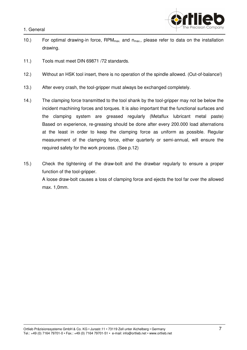1. General



- 10.) For optimal drawing-in force,  $RPM_{max}$  and  $n_{max}$ , please refer to data on the installation drawing.
- 11.) Tools must meet DIN 69871 /72 standards.
- 12.) Without an HSK tool insert, there is no operation of the spindle allowed. (Out-of-balance!)
- 13.) After every crash, the tool-gripper must always be exchanged completely.
- 14.) The clamping force transmitted to the tool shank by the tool-gripper may not be below the incident machining forces and torques. It is also important that the functional surfaces and the clamping system are greased regularly (Metaflux lubricant metal paste) Based on experience, re-greasing should be done after every 200.000 load alternations at the least in order to keep the clamping force as uniform as possible. Regular measurement of the clamping force, either quarterly or semi-annual, will ensure the required safety for the work process. (See p.12)
- 15.) Check the tightening of the draw-bolt and the drawbar regularly to ensure a proper function of the tool-gripper. A loose draw-bolt causes a loss of clamping force and ejects the tool far over the allowed max. 1,0mm.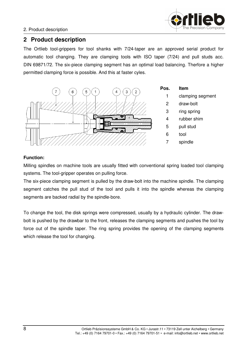

### 2. Product description

# **2 Product description**

The Ortlieb tool-grippers for tool shanks with 7/24-taper are an approved serial product for automatic tool changing. They are clamping tools with ISO taper (7/24) and pull studs acc. DIN 69871/72. The six-piece clamping segment has an optimal load balancing. Therfore a higher permitted clamping force is possible. And this at faster cyles.



### **Function:**

Milling spindles on machine tools are usually fitted with conventional spring loaded tool clamping systems. The tool-gripper operates on pulling force.

The six-piece clamping segment is pulled by the draw-bolt into the machine spindle. The clamping segment catches the pull stud of the tool and pulls it into the spindle whereas the clamping segments are backed radial by the spindle-bore.

To change the tool, the disk springs were compressed, usually by a hydraulic cylinder. The drawbolt is pushed by the drawbar to the front, releases the clamping segments and pushes the tool by force out of the spindle taper. The ring spring provides the opening of the clamping segments which release the tool for changing.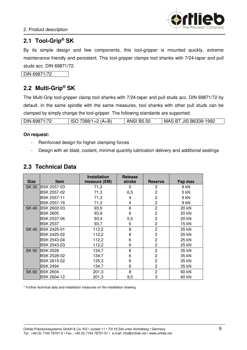

# **2.1 Tool-Grip® SK**

By its simple design and few components, this tool-gripper is mounted quickly, extreme maintenance friendly and persistent. This tool-gripper clamps tool shanks with 7/24-taper and pull studs acc. DIN 69871/72.

DIN 69871/72

# **2.2 Multi-Grip® SK**

The Multi-Grip tool-gripper clamp tool shanks with 7/24-taper and pull studs acc. DIN 69871/72 by default. In the same spindle with the same measures, tool shanks with other pull studs can be clamped by simply change the tool-gripper. The following standards are supported:

| DIN 69871/72 | 7388/1+2 (A+B)<br><b>ISO</b> | <b>ANSI B5.50</b> | <b>JIS B6339-1992</b><br>MAS BT |
|--------------|------------------------------|-------------------|---------------------------------|

#### **On request:**

- Reinforced design for higher clamping forces
- Design with air blast, coolant, minimal quantity lubrication delivery and additional sealings

### **2.3 Technical Data**

| <b>Size</b>  | <b>Item</b>         | <b>Installation</b><br>measure (EM) | <b>Release</b><br>stroke | <b>Reserve</b> | Fsp max      |
|--------------|---------------------|-------------------------------------|--------------------------|----------------|--------------|
| <b>SK 30</b> | IBSK 2557-03        | 71,3                                | 5                        | 2              | 9 kN         |
|              | <b>IBSK 2557-02</b> | 71,3                                | 6,5                      | 2              | 5 kN         |
|              | <b>IBSK 2557-11</b> | 71,3                                | 4                        | 2              | 9 kN         |
|              | BSK 2557-16         | 71,3                                | 4                        | $\overline{c}$ | 9 kN         |
| SK 40        | <b>BSK 2602-03</b>  | 93,9                                | 6                        | $\overline{2}$ | 20 kN        |
|              | BSK 2605            | 93,9                                | 6                        | $\overline{2}$ | 20 kN        |
|              | <b>IBSK 2537-06</b> | 93,4                                | 5,5                      | 2              | <b>20 kN</b> |
|              | BSK 2537            | 93,7                                | 6                        | 2              | 15 kN        |
| SK 45        | <b>IBSK 2425-01</b> | 112,2                               | 8                        | $\overline{2}$ | 25 kN        |
|              | BSK 2425-02         | 112,2                               | 8                        | $\overline{2}$ | 25 kN        |
|              | <b>IBSK 2543-04</b> | 112,2                               | 6                        | $\overline{2}$ | 25 kN        |
|              | <b>IBSK 2543-03</b> | 112,2                               | 6                        | $\overline{c}$ | 25 kN        |
| <b>SK 50</b> | <b>BSK 2528</b>     | 134,7                               | 8                        | $\overline{2}$ | 35 kN        |
|              | BSK 2528-02         | 134,7                               | 6                        | $\overline{2}$ | 35 kN        |
|              | BSK 2615-02         | 135,3                               | 6                        | 2              | 35 kN        |
|              | BSK 2494            | 134,7                               | 8                        | 2              | 35 kN        |
| SK 60        | <b>BSK 2604</b>     | 201,3                               | 8                        | 2              | 60 kN        |
|              | <b>IBSK 2604-12</b> | 201,3                               | 9,5                      | 3              | 60 kN        |

\* Further technical data and installation measures on the installation drawing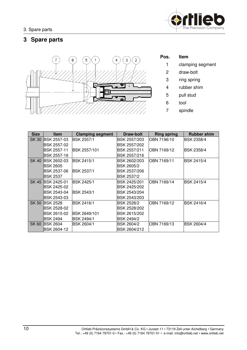

# **3 Spare parts**



| Pos. | ltem             |
|------|------------------|
| 1    | clamping segment |
| 2    | draw-bolt        |
| 3    | ring spring      |
| 4    | rubber shim      |
| 5    | pull stud        |
| 6    | tool             |
| 7    | spindle          |

| <b>Size</b>  | <b>Item</b>         | <b>Clamping segment</b> | Draw-bolt         | <b>Ring spring</b> | <b>Rubber shim</b> |
|--------------|---------------------|-------------------------|-------------------|--------------------|--------------------|
| <b>SK 30</b> | <b>IBSK 2557-03</b> | <b>IBSK 2557/1</b>      | BSK 2557/203      | IOBN 7196/10       | BSK 2358/4         |
|              | BSK 2557-02         |                         | IBSK 2557/202     |                    |                    |
|              | <b>BSK 2557-11</b>  | IBSK 2557/101           | IBSK 2557/211     | OBN 7169/12        | <b>BSK 2358/4</b>  |
|              | <b>BSK 2557-16</b>  |                         | IBSK 2557/216     |                    |                    |
| SK 40        | <b>IBSK 2602-03</b> | <b>BSK 2415/1</b>       | IBSK 2602/203     | OBN 7169/11        | <b>IBSK 2415/4</b> |
|              | IBSK 2605           |                         | <b>BSK 2605/2</b> |                    |                    |
|              | BSK 2537-06         | <b>BSK 2537/1</b>       | BSK 2537/206      |                    |                    |
|              | <b>BSK 2537</b>     |                         | <b>BSK 2537/2</b> |                    |                    |
|              | SK 45 BSK 2425-01   | <b>BSK 2425/1</b>       | BSK 2425/201      | OBN 7169/14        | BSK 2415/4         |
|              | IBSK 2425-02        |                         | BSK 2425/202      |                    |                    |
|              | BSK 2543-04         | <b>IBSK 2543/1</b>      | BSK 2543/204      |                    |                    |
|              | <b>BSK 2543-03</b>  |                         | BSK 2543/203      |                    |                    |
| SK 50        | <b>IBSK 2528</b>    | BSK 2416/1              | <b>BSK 2528/2</b> | OBN 7169/12        | BSK 2416/4         |
|              | BSK 2528-02         |                         | BSK 2528/202      |                    |                    |
|              | BSK 2615-02         | <b>IBSK 2649/101</b>    | IBSK 2615/202     |                    |                    |
|              | <b>BSK 2494</b>     | IBSK 2494/1             | IBSK 2494/2       |                    |                    |
| <b>SK 60</b> | <b>IBSK 2604</b>    | BSK 2604/1              | <b>BSK 2604/2</b> | OBN 7169/13        | <b>BSK 2604/4</b>  |
|              | BSK 2604-12         |                         | BSK 2604/212      |                    |                    |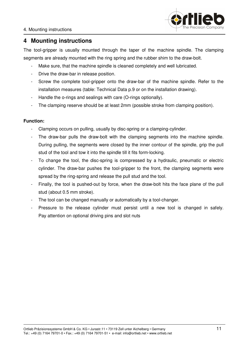

# **4 Mounting instructions**

The tool-gripper is usually mounted through the taper of the machine spindle. The clamping segments are already mounted with the ring spring and the rubber shim to the draw-bolt.

- Make sure, that the machine spindle is cleaned completely and well lubricated.
- Drive the draw-bar in release position.
- Screw the complete tool-gripper onto the draw-bar of the machine spindle. Refer to the installation measures (table: Technical Data p.9 or on the installation drawing).
- Handle the o-rings and sealings with care (O-rings optionally).
- The clamping reserve should be at least 2mm (possible stroke from clamping position).

### **Function:**

- Clamping occurs on pulling, usually by disc-spring or a clamping-cylinder.
- The draw-bar pulls the draw-bolt with the clamping segments into the machine spindle. During pulling, the segments were closed by the inner contour of the spindle, grip the pull stud of the tool and tow it into the spindle till it fits form-locking.
- To change the tool, the disc-spring is compressed by a hydraulic, pneumatic or electric cylinder. The draw-bar pushes the tool-gripper to the front, the clamping segments were spread by the ring-spring and release the pull stud and the tool.
- Finally, the tool is pushed-out by force, when the draw-bolt hits the face plane of the pull stud (about 0.5 mm stroke).
- The tool can be changed manually or automatically by a tool-changer.
- Pressure to the release cylinder must persist until a new tool is changed in safely. Pay attention on optional driving pins and slot nuts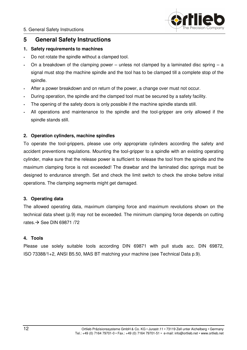

# **5 General Safety Instructions**

### **1. Safety requirements to machines**

- **-** Do not rotate the spindle without a clamped tool.
- **-** On a breakdown of the clamping power unless not clamped by a laminated disc spring a signal must stop the machine spindle and the tool has to be clamped till a complete stop of the spindle.
- **-** After a power breakdown and on return of the power, a change over must not occur.
- **-** During operation, the spindle and the clamped tool must be secured by a safety facility.
- **-** The opening of the safety doors is only possible if the machine spindle stands still.
- **-** All operations and maintenance to the spindle and the tool-gripper are only allowed if the spindle stands still.

### **2. Operation cylinders, machine spindles**

To operate the tool-grippers, please use only appropriate cylinders according the safety and accident preventions regulations. Mounting the tool-gripper to a spindle with an existing operating cylinder, make sure that the release power is sufficient to release the tool from the spindle and the maximum clamping force is not exceeded! The drawbar and the laminated disc springs must be designed to endurance strength. Set and check the limit switch to check the stroke before initial operations. The clamping segments might get damaged.

### **3. Operating data**

The allowed operating data, maximum clamping force and maximum revolutions shown on the technical data sheet (p.9) may not be exceeded. The minimum clamping force depends on cutting rates.  $\rightarrow$  See DIN 69871 /72

### **4. Tools**

Please use solely suitable tools according DIN 69871 with pull studs acc. DIN 69872, ISO 73388/1+2, ANSI B5.50, MAS BT matching your machine (see Technical Data p.9).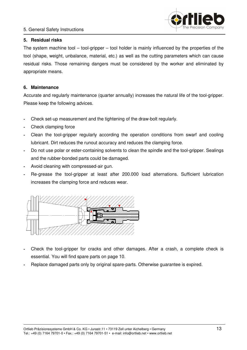### 5. General Safety Instructions



### **5. Residual risks**

The system machine tool – tool-gripper – tool holder is mainly influenced by the properties of the tool (shape, weight, unbalance, material, etc.) as well as the cutting parameters which can cause residual risks. Those remaining dangers must be considered by the worker and eliminated by appropriate means.

### **6. Maintenance**

Accurate and regularly maintenance (quarter annually) increases the natural life of the tool-gripper. Please keep the following advices.

- **-** Check set-up measurement and the tightening of the draw-bolt regularly.
- **-** Check clamping force
- **-** Clean the tool-gripper regularly according the operation conditions from swarf and cooling lubricant. Dirt reduces the runout accuracy and reduces the clamping force.
- **-** Do not use polar or ester-containing solvents to clean the spindle and the tool-gripper. Sealings and the rubber-bonded parts could be damaged.
- **-** Avoid cleaning with compressed-air gun.
- **-** Re-grease the tool-gripper at least after 200.000 load alternations. Sufficient lubrication increases the clamping force and reduces wear.



- **-** Check the tool-gripper for cracks and other damages. After a crash, a complete check is essential. You will find spare parts on page 10.
- **-** Replace damaged parts only by original spare-parts. Otherwise guarantee is expired.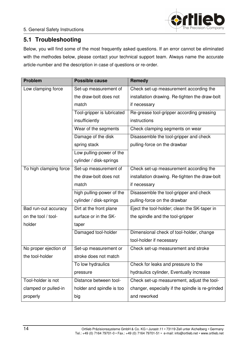

# **5.1 Troubleshooting**

Below, you will find some of the most frequently asked questions. If an error cannot be eliminated with the methodes below, please contact your technical support team. Always name the accurate article-number and the description in case of questions or re-order.

| <b>Problem</b>         | <b>Possible cause</b>      | Remedy                                           |
|------------------------|----------------------------|--------------------------------------------------|
| Low clamping force     | Set-up measurement of      | Check set-up measurement according the           |
|                        | the draw-bolt does not     | installation drawing. Re-tighten the draw-bolt   |
|                        | match                      | if necessary                                     |
|                        | Tool-gripper is lubricated | Re-grease tool-gripper according greasing        |
|                        | insufficiently             | instructions                                     |
|                        | Wear of the segments       | Check clamping segments on wear                  |
|                        | Damage of the disk         | Disassemble the tool-gripper and check           |
|                        | spring stack               | pulling-force on the drawbar                     |
|                        | Low pulling-power of the   |                                                  |
|                        | cylinder / disk-springs    |                                                  |
| To high clamping force | Set-up measurement of      | Check set-up measurement according the           |
|                        | the draw-bolt does not     | installation drawing. Re-tighten the draw-bolt   |
|                        | match                      | if necessary                                     |
|                        | high pulling-power of the  | Disassemble the tool-gripper and check           |
|                        | cylinder / disk-springs    | pulling-force on the drawbar                     |
| Bad run-out accuracy   | Dirt at the front plane    | Eject the tool-holder; clean the SK-taper in     |
| on the tool / tool-    | surface or in the SK-      | the spindle and the tool-gripper                 |
| holder                 | taper                      |                                                  |
|                        | Damaged tool-holder        | Dimensional check of tool-holder, change         |
|                        |                            | tool-holder if necessary                         |
| No proper ejection of  | Set-up measurement or      | Check set-up measurement and stroke              |
| the tool-holder        | stroke does not match      |                                                  |
|                        | To low hydraulics          | Check for leaks and pressure to the              |
|                        | pressure                   | hydraulics cylinder, Eventually increase         |
| Tool-holder is not     | Distance between tool-     | Check set-up measurement, adjust the tool-       |
| clamped or pulled-in   | holder and spindle is too  | changer, especially if the spindle is re-grinded |
| properly               | big                        | and reworked                                     |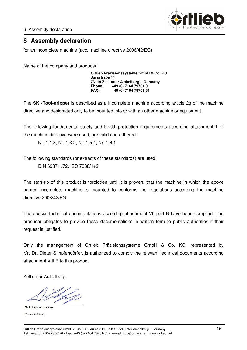6. Assembly declaration



# **6 Assembly declaration**

for an incomplete machine (acc. machine directive 2006/42/EG)

Name of the company and producer:

**Ortlieb Präzisionssysteme GmbH & Co. KG Jurastraße 11 73119 Zell unter Aichelberg – Germany Phone: +49 (0) 7164 79701 0 FAX: +49 (0) 7164 79701 51** 

The **SK -Tool-gripper** is described as a incomplete machine according article 2g of the machine directive and designated only to be mounted into or with an other machine or equipment.

The following fundamental safety and health-protection requirements according attachment 1 of the machine directive were used, are valid and adhered:

Nr. 1.1.3, Nr. 1.3.2, Nr. 1.5.4, Nr. 1.6.1

The following standards (or extracts of these standards) are used:

DIN 69871 /72, ISO 7388/1+2

The start-up of this product is forbidden until it is proven, that the machine in which the above named incomplete machine is mounted to conforms the regulations according the machine directive 2006/42/EG.

The special technical documentations according attachment VII part B have been complied. The producer obligates to provide these documentations in written form to public authorities if their request is justified.

Only the management of Ortlieb Präzisionssysteme GmbH & Co. KG, represented by Mr. Dr. Dieter Simpfendörfer, is authorized to comply the relevant technical documents according attachment VIII B to this product

Zell unter Aichelberg,

**Dirk Laubengeiger** (Geschäftsführer)